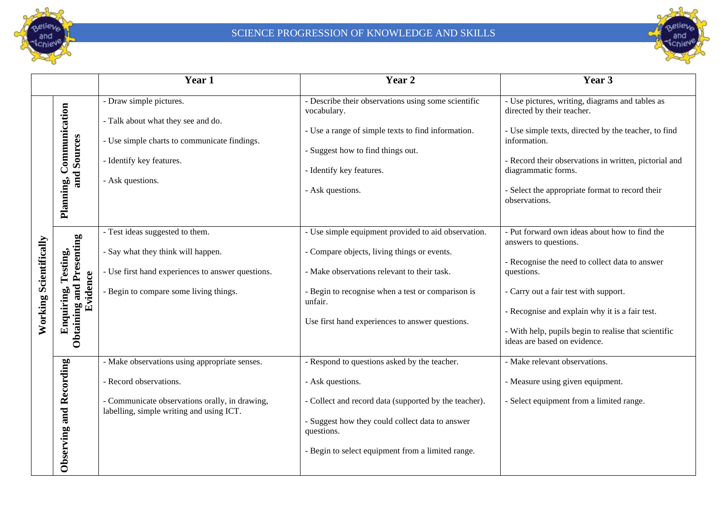

## SCIENCE PROGRESSION OF KNOWLEDGE AND SKILLS



|                               |                                                                       | Year 1                                                                                                                                                                | Year 2                                                                                                                                                                                                                                                               | Year 3                                                                                                                                                                                                                                                                                                                    |
|-------------------------------|-----------------------------------------------------------------------|-----------------------------------------------------------------------------------------------------------------------------------------------------------------------|----------------------------------------------------------------------------------------------------------------------------------------------------------------------------------------------------------------------------------------------------------------------|---------------------------------------------------------------------------------------------------------------------------------------------------------------------------------------------------------------------------------------------------------------------------------------------------------------------------|
| <b>Working Scientifically</b> | Communication<br>and Sources<br>Planning,                             | - Draw simple pictures.<br>- Talk about what they see and do.<br>- Use simple charts to communicate findings.<br>- Identify key features.<br>- Ask questions.         | - Describe their observations using some scientific<br>vocabulary.<br>- Use a range of simple texts to find information.<br>- Suggest how to find things out.<br>- Identify key features.<br>- Ask questions.                                                        | - Use pictures, writing, diagrams and tables as<br>directed by their teacher.<br>- Use simple texts, directed by the teacher, to find<br>information.<br>- Record their observations in written, pictorial and<br>diagrammatic forms.<br>- Select the appropriate format to record their<br>observations.                 |
|                               | <b>Obtaining and Presenting</b><br>Testing,<br>Evidence<br>Enquiring, | - Test ideas suggested to them.<br>- Say what they think will happen.<br>- Use first hand experiences to answer questions.<br>- Begin to compare some living things.  | - Use simple equipment provided to aid observation.<br>- Compare objects, living things or events.<br>- Make observations relevant to their task.<br>- Begin to recognise when a test or comparison is<br>unfair.<br>Use first hand experiences to answer questions. | - Put forward own ideas about how to find the<br>answers to questions.<br>- Recognise the need to collect data to answer<br>questions.<br>- Carry out a fair test with support.<br>- Recognise and explain why it is a fair test.<br>- With help, pupils begin to realise that scientific<br>ideas are based on evidence. |
|                               | Observing and Recording                                               | - Make observations using appropriate senses.<br>- Record observations.<br>- Communicate observations orally, in drawing,<br>labelling, simple writing and using ICT. | - Respond to questions asked by the teacher.<br>- Ask questions.<br>- Collect and record data (supported by the teacher).<br>- Suggest how they could collect data to answer<br>questions.<br>- Begin to select equipment from a limited range.                      | - Make relevant observations.<br>- Measure using given equipment.<br>- Select equipment from a limited range.                                                                                                                                                                                                             |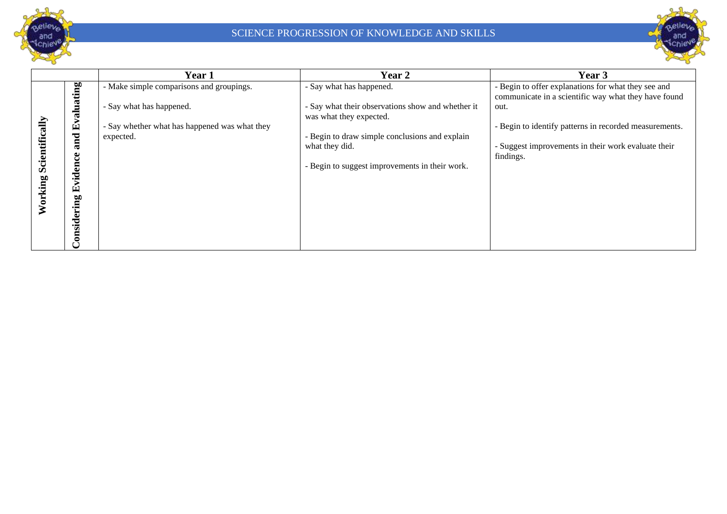



|                        |             | Year 1                                        | Year 2                                                                       | Year 3                                                                                                      |
|------------------------|-------------|-----------------------------------------------|------------------------------------------------------------------------------|-------------------------------------------------------------------------------------------------------------|
|                        | valuating   | - Make simple comparisons and groupings.      | - Say what has happened.                                                     | - Begin to offer explanations for what they see and<br>communicate in a scientific way what they have found |
|                        |             | - Say what has happened.                      | - Say what their observations show and whether it<br>was what they expected. | out.                                                                                                        |
| Working Scientifically | 덕           | - Say whether what has happened was what they |                                                                              | - Begin to identify patterns in recorded measurements.                                                      |
|                        | and         | expected.                                     | - Begin to draw simple conclusions and explain                               |                                                                                                             |
|                        |             |                                               | what they did.                                                               | - Suggest improvements in their work evaluate their                                                         |
|                        | Φ           |                                               |                                                                              | findings.                                                                                                   |
|                        |             |                                               | - Begin to suggest improvements in their work.                               |                                                                                                             |
|                        | videnc      |                                               |                                                                              |                                                                                                             |
|                        | 囟           |                                               |                                                                              |                                                                                                             |
|                        |             |                                               |                                                                              |                                                                                                             |
|                        |             |                                               |                                                                              |                                                                                                             |
|                        | Considering |                                               |                                                                              |                                                                                                             |
|                        |             |                                               |                                                                              |                                                                                                             |
|                        |             |                                               |                                                                              |                                                                                                             |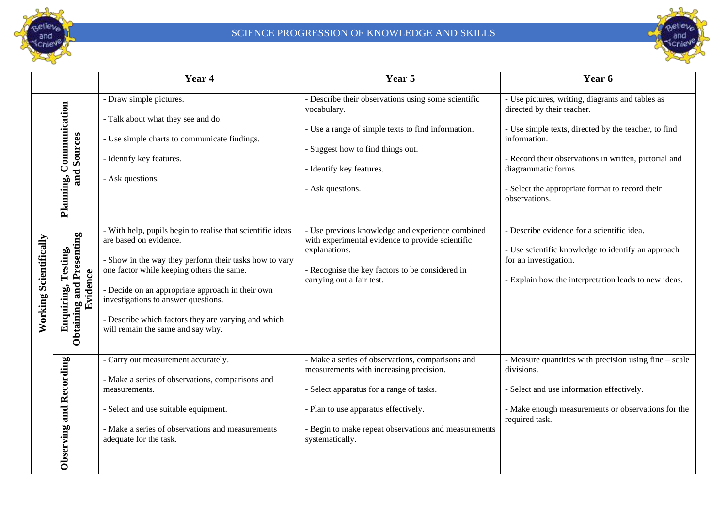

## SCIENCE PROGRESSION OF KNOWLEDGE AND SKILLS



|                        |                                                                   | Year 4                                                                                                                                                                                                                                                                                                                                                                             | Year 5                                                                                                                                                                                                                                                     | Year 6                                                                                                                                                                                                                                                                                                    |
|------------------------|-------------------------------------------------------------------|------------------------------------------------------------------------------------------------------------------------------------------------------------------------------------------------------------------------------------------------------------------------------------------------------------------------------------------------------------------------------------|------------------------------------------------------------------------------------------------------------------------------------------------------------------------------------------------------------------------------------------------------------|-----------------------------------------------------------------------------------------------------------------------------------------------------------------------------------------------------------------------------------------------------------------------------------------------------------|
|                        | Communication<br>and Sources<br>Planning,                         | - Draw simple pictures.<br>- Talk about what they see and do.<br>- Use simple charts to communicate findings.<br>- Identify key features.<br>- Ask questions.                                                                                                                                                                                                                      | - Describe their observations using some scientific<br>vocabulary.<br>- Use a range of simple texts to find information.<br>- Suggest how to find things out.<br>- Identify key features.<br>- Ask questions.                                              | - Use pictures, writing, diagrams and tables as<br>directed by their teacher.<br>- Use simple texts, directed by the teacher, to find<br>information.<br>- Record their observations in written, pictorial and<br>diagrammatic forms.<br>- Select the appropriate format to record their<br>observations. |
| Working Scientifically | Presenting<br>Testing,<br>Evidence<br>Obtaining and<br>Enquiring, | - With help, pupils begin to realise that scientific ideas<br>are based on evidence.<br>- Show in the way they perform their tasks how to vary<br>one factor while keeping others the same.<br>- Decide on an appropriate approach in their own<br>investigations to answer questions.<br>- Describe which factors they are varying and which<br>will remain the same and say why. | - Use previous knowledge and experience combined<br>with experimental evidence to provide scientific<br>explanations.<br>- Recognise the key factors to be considered in<br>carrying out a fair test.                                                      | - Describe evidence for a scientific idea.<br>- Use scientific knowledge to identify an approach<br>for an investigation.<br>- Explain how the interpretation leads to new ideas.                                                                                                                         |
|                        | Observing and Recording                                           | - Carry out measurement accurately.<br>- Make a series of observations, comparisons and<br>measurements.<br>- Select and use suitable equipment.<br>- Make a series of observations and measurements<br>adequate for the task.                                                                                                                                                     | - Make a series of observations, comparisons and<br>measurements with increasing precision.<br>- Select apparatus for a range of tasks.<br>- Plan to use apparatus effectively.<br>- Begin to make repeat observations and measurements<br>systematically. | - Measure quantities with precision using fine – scale<br>divisions.<br>- Select and use information effectively.<br>- Make enough measurements or observations for the<br>required task.                                                                                                                 |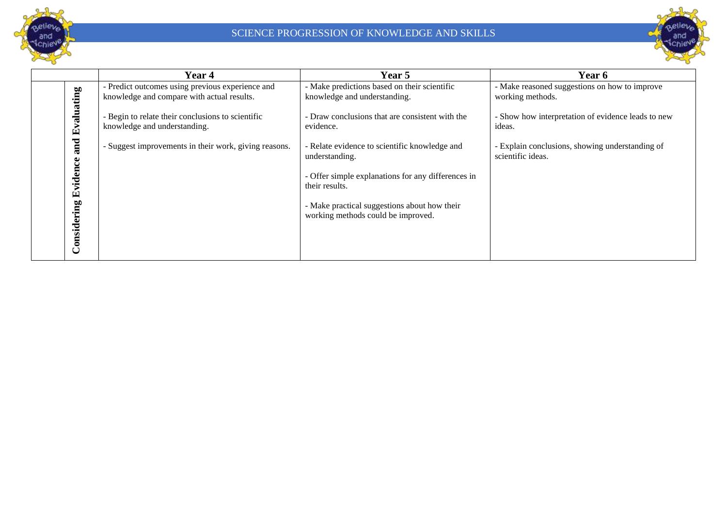



|                                                    | Year 4                                                | Year 5                                                                                                                                                                                                                        | Year 6                                                               |
|----------------------------------------------------|-------------------------------------------------------|-------------------------------------------------------------------------------------------------------------------------------------------------------------------------------------------------------------------------------|----------------------------------------------------------------------|
| aluating                                           | - Predict outcomes using previous experience and      | - Make predictions based on their scientific                                                                                                                                                                                  | - Make reasoned suggestions on how to improve                        |
|                                                    | knowledge and compare with actual results.            | knowledge and understanding.                                                                                                                                                                                                  | working methods.                                                     |
| $\mathbf{E}$                                       | Begin to relate their conclusions to scientific       | - Draw conclusions that are consistent with the                                                                                                                                                                               | - Show how interpretation of evidence leads to new                   |
|                                                    | knowledge and understanding.                          | evidence.                                                                                                                                                                                                                     | ideas.                                                               |
| and<br>$\bullet$<br>ల<br>viden<br>囟<br>Considering | - Suggest improvements in their work, giving reasons. | - Relate evidence to scientific knowledge and<br>understanding.<br>- Offer simple explanations for any differences in<br>their results.<br>- Make practical suggestions about how their<br>working methods could be improved. | - Explain conclusions, showing understanding of<br>scientific ideas. |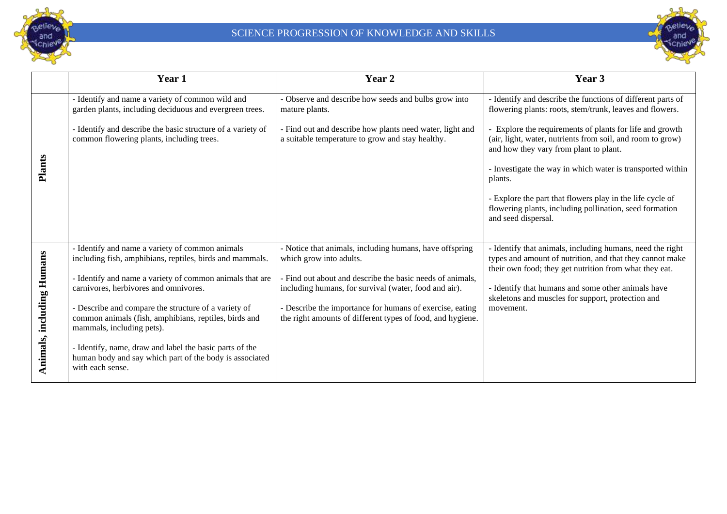



|                           | Year 1                                                                                                                                                                                                                                                                                                                                                                                                                                                                                           | Year 2                                                                                                                                                                                                                                                                                                                             | Year 3                                                                                                                                                                                                                                                                                                                                                                                                                                                                                                            |
|---------------------------|--------------------------------------------------------------------------------------------------------------------------------------------------------------------------------------------------------------------------------------------------------------------------------------------------------------------------------------------------------------------------------------------------------------------------------------------------------------------------------------------------|------------------------------------------------------------------------------------------------------------------------------------------------------------------------------------------------------------------------------------------------------------------------------------------------------------------------------------|-------------------------------------------------------------------------------------------------------------------------------------------------------------------------------------------------------------------------------------------------------------------------------------------------------------------------------------------------------------------------------------------------------------------------------------------------------------------------------------------------------------------|
| <b>Plants</b>             | - Identify and name a variety of common wild and<br>garden plants, including deciduous and evergreen trees.<br>Identify and describe the basic structure of a variety of<br>common flowering plants, including trees.                                                                                                                                                                                                                                                                            | - Observe and describe how seeds and bulbs grow into<br>mature plants.<br>- Find out and describe how plants need water, light and<br>a suitable temperature to grow and stay healthy.                                                                                                                                             | - Identify and describe the functions of different parts of<br>flowering plants: roots, stem/trunk, leaves and flowers.<br>Explore the requirements of plants for life and growth<br>(air, light, water, nutrients from soil, and room to grow)<br>and how they vary from plant to plant.<br>- Investigate the way in which water is transported within<br>plants.<br>- Explore the part that flowers play in the life cycle of<br>flowering plants, including pollination, seed formation<br>and seed dispersal. |
| Animals, including Humans | Identify and name a variety of common animals<br>including fish, amphibians, reptiles, birds and mammals.<br>Identify and name a variety of common animals that are<br>carnivores, herbivores and omnivores.<br>Describe and compare the structure of a variety of<br>common animals (fish, amphibians, reptiles, birds and<br>mammals, including pets).<br>Identify, name, draw and label the basic parts of the<br>human body and say which part of the body is associated<br>with each sense. | - Notice that animals, including humans, have offspring<br>which grow into adults.<br>- Find out about and describe the basic needs of animals,<br>including humans, for survival (water, food and air).<br>- Describe the importance for humans of exercise, eating<br>the right amounts of different types of food, and hygiene. | - Identify that animals, including humans, need the right<br>types and amount of nutrition, and that they cannot make<br>their own food; they get nutrition from what they eat.<br>- Identify that humans and some other animals have<br>skeletons and muscles for support, protection and<br>movement.                                                                                                                                                                                                           |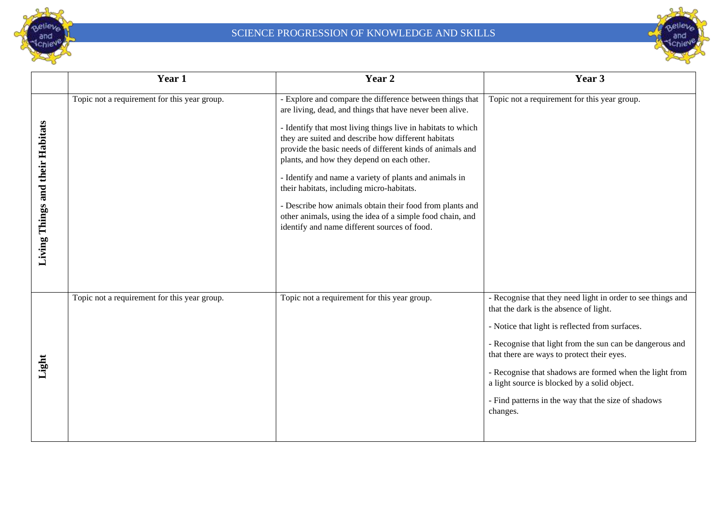



|                                  | Year 1                                       | Year 2                                                                                                                                                                                                                                                                                                                                                                                                                                                                                                                                                                                                                                 | Year 3                                                                                                                                                                                                                                                                                                                                                                                                                                           |
|----------------------------------|----------------------------------------------|----------------------------------------------------------------------------------------------------------------------------------------------------------------------------------------------------------------------------------------------------------------------------------------------------------------------------------------------------------------------------------------------------------------------------------------------------------------------------------------------------------------------------------------------------------------------------------------------------------------------------------------|--------------------------------------------------------------------------------------------------------------------------------------------------------------------------------------------------------------------------------------------------------------------------------------------------------------------------------------------------------------------------------------------------------------------------------------------------|
| Living Things and their Habitats | Topic not a requirement for this year group. | - Explore and compare the difference between things that<br>are living, dead, and things that have never been alive.<br>- Identify that most living things live in habitats to which<br>they are suited and describe how different habitats<br>provide the basic needs of different kinds of animals and<br>plants, and how they depend on each other.<br>- Identify and name a variety of plants and animals in<br>their habitats, including micro-habitats.<br>- Describe how animals obtain their food from plants and<br>other animals, using the idea of a simple food chain, and<br>identify and name different sources of food. | Topic not a requirement for this year group.                                                                                                                                                                                                                                                                                                                                                                                                     |
| Light                            | Topic not a requirement for this year group. | Topic not a requirement for this year group.                                                                                                                                                                                                                                                                                                                                                                                                                                                                                                                                                                                           | - Recognise that they need light in order to see things and<br>that the dark is the absence of light.<br>- Notice that light is reflected from surfaces.<br>- Recognise that light from the sun can be dangerous and<br>that there are ways to protect their eyes.<br>- Recognise that shadows are formed when the light from<br>a light source is blocked by a solid object.<br>- Find patterns in the way that the size of shadows<br>changes. |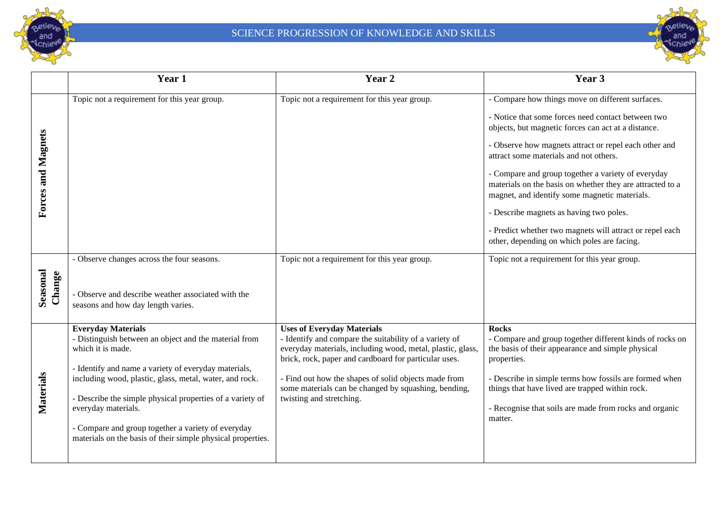



|                           | Year 1                                                                                                                                                                                                                                                                                                                                                                                                                              | Year 2                                                                                                                                                                                                                                                                                                                                                         | Year 3                                                                                                                                                                                                                                                                                                                                                                                                                                                                          |
|---------------------------|-------------------------------------------------------------------------------------------------------------------------------------------------------------------------------------------------------------------------------------------------------------------------------------------------------------------------------------------------------------------------------------------------------------------------------------|----------------------------------------------------------------------------------------------------------------------------------------------------------------------------------------------------------------------------------------------------------------------------------------------------------------------------------------------------------------|---------------------------------------------------------------------------------------------------------------------------------------------------------------------------------------------------------------------------------------------------------------------------------------------------------------------------------------------------------------------------------------------------------------------------------------------------------------------------------|
| <b>Forces and Magnets</b> | Topic not a requirement for this year group.                                                                                                                                                                                                                                                                                                                                                                                        | Topic not a requirement for this year group.                                                                                                                                                                                                                                                                                                                   | - Compare how things move on different surfaces.<br>- Notice that some forces need contact between two<br>objects, but magnetic forces can act at a distance.<br>- Observe how magnets attract or repel each other and<br>attract some materials and not others.<br>- Compare and group together a variety of everyday<br>materials on the basis on whether they are attracted to a<br>magnet, and identify some magnetic materials.<br>- Describe magnets as having two poles. |
| Seasonal<br>Change        | - Observe changes across the four seasons.<br>- Observe and describe weather associated with the<br>seasons and how day length varies.                                                                                                                                                                                                                                                                                              | Topic not a requirement for this year group.                                                                                                                                                                                                                                                                                                                   | - Predict whether two magnets will attract or repel each<br>other, depending on which poles are facing.<br>Topic not a requirement for this year group.                                                                                                                                                                                                                                                                                                                         |
| Materials                 | <b>Everyday Materials</b><br>- Distinguish between an object and the material from<br>which it is made.<br>- Identify and name a variety of everyday materials,<br>including wood, plastic, glass, metal, water, and rock.<br>- Describe the simple physical properties of a variety of<br>everyday materials.<br>- Compare and group together a variety of everyday<br>materials on the basis of their simple physical properties. | <b>Uses of Everyday Materials</b><br>- Identify and compare the suitability of a variety of<br>everyday materials, including wood, metal, plastic, glass,<br>brick, rock, paper and cardboard for particular uses.<br>- Find out how the shapes of solid objects made from<br>some materials can be changed by squashing, bending,<br>twisting and stretching. | <b>Rocks</b><br>- Compare and group together different kinds of rocks on<br>the basis of their appearance and simple physical<br>properties.<br>- Describe in simple terms how fossils are formed when<br>things that have lived are trapped within rock.<br>- Recognise that soils are made from rocks and organic<br>matter.                                                                                                                                                  |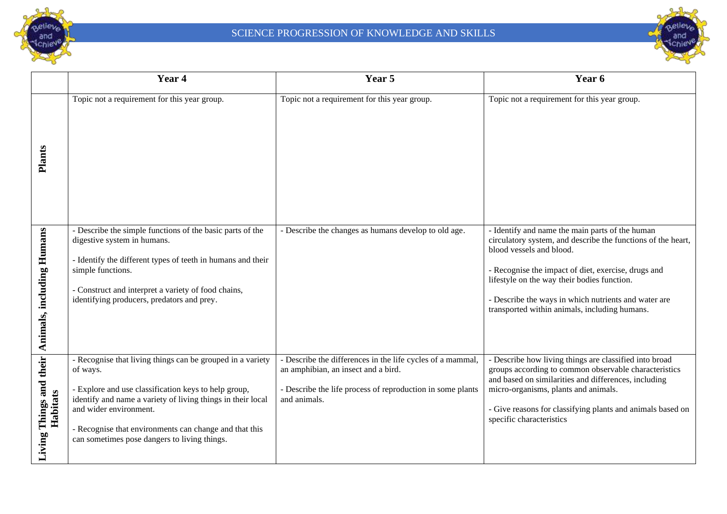



|                                     | Year 4                                                                                                                                                                                                                                                                                                                          | Year 5                                                                                                                                                                          | Year 6                                                                                                                                                                                                                                                                                                                                                     |
|-------------------------------------|---------------------------------------------------------------------------------------------------------------------------------------------------------------------------------------------------------------------------------------------------------------------------------------------------------------------------------|---------------------------------------------------------------------------------------------------------------------------------------------------------------------------------|------------------------------------------------------------------------------------------------------------------------------------------------------------------------------------------------------------------------------------------------------------------------------------------------------------------------------------------------------------|
| <b>Plants</b>                       | Topic not a requirement for this year group.                                                                                                                                                                                                                                                                                    | Topic not a requirement for this year group.                                                                                                                                    | Topic not a requirement for this year group.                                                                                                                                                                                                                                                                                                               |
| Animals, including Humans           | - Describe the simple functions of the basic parts of the<br>digestive system in humans.<br>Identify the different types of teeth in humans and their<br>simple functions.<br>Construct and interpret a variety of food chains,<br>identifying producers, predators and prey.                                                   | - Describe the changes as humans develop to old age.                                                                                                                            | - Identify and name the main parts of the human<br>circulatory system, and describe the functions of the heart,<br>blood vessels and blood.<br>- Recognise the impact of diet, exercise, drugs and<br>lifestyle on the way their bodies function.<br>- Describe the ways in which nutrients and water are<br>transported within animals, including humans. |
| Living Things and their<br>Habitats | - Recognise that living things can be grouped in a variety<br>of ways.<br>- Explore and use classification keys to help group,<br>identify and name a variety of living things in their local<br>and wider environment.<br>Recognise that environments can change and that this<br>can sometimes pose dangers to living things. | - Describe the differences in the life cycles of a mammal,<br>an amphibian, an insect and a bird.<br>- Describe the life process of reproduction in some plants<br>and animals. | - Describe how living things are classified into broad<br>groups according to common observable characteristics<br>and based on similarities and differences, including<br>micro-organisms, plants and animals.<br>- Give reasons for classifying plants and animals based on<br>specific characteristics                                                  |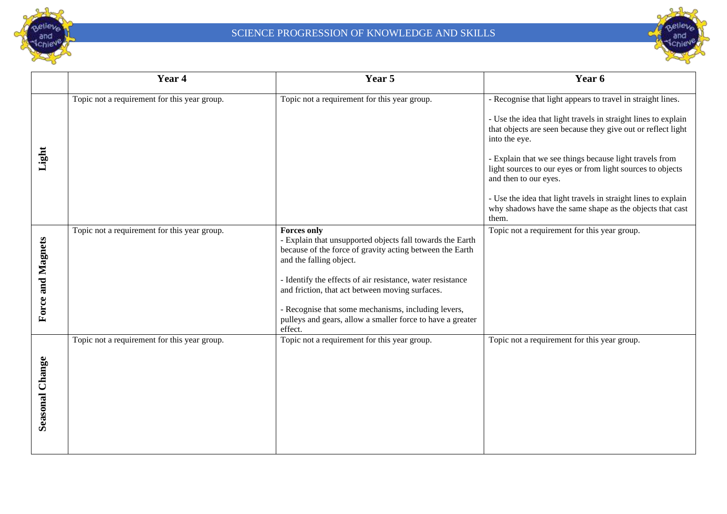



|                          | Year 4                                       | Year 5                                                                                                                                                                                                                                                                                                                                                                                                                  | Year 6                                                                                                                                                                                                                                                                                                                                                                                                                                                                                                  |
|--------------------------|----------------------------------------------|-------------------------------------------------------------------------------------------------------------------------------------------------------------------------------------------------------------------------------------------------------------------------------------------------------------------------------------------------------------------------------------------------------------------------|---------------------------------------------------------------------------------------------------------------------------------------------------------------------------------------------------------------------------------------------------------------------------------------------------------------------------------------------------------------------------------------------------------------------------------------------------------------------------------------------------------|
| Light                    | Topic not a requirement for this year group. | Topic not a requirement for this year group.                                                                                                                                                                                                                                                                                                                                                                            | - Recognise that light appears to travel in straight lines.<br>- Use the idea that light travels in straight lines to explain<br>that objects are seen because they give out or reflect light<br>into the eye.<br>- Explain that we see things because light travels from<br>light sources to our eyes or from light sources to objects<br>and then to our eyes.<br>- Use the idea that light travels in straight lines to explain<br>why shadows have the same shape as the objects that cast<br>them. |
| <b>Force and Magnets</b> | Topic not a requirement for this year group. | <b>Forces only</b><br>- Explain that unsupported objects fall towards the Earth<br>because of the force of gravity acting between the Earth<br>and the falling object.<br>- Identify the effects of air resistance, water resistance<br>and friction, that act between moving surfaces.<br>- Recognise that some mechanisms, including levers,<br>pulleys and gears, allow a smaller force to have a greater<br>effect. | Topic not a requirement for this year group.                                                                                                                                                                                                                                                                                                                                                                                                                                                            |
| Seasonal Change          | Topic not a requirement for this year group. | Topic not a requirement for this year group.                                                                                                                                                                                                                                                                                                                                                                            | Topic not a requirement for this year group.                                                                                                                                                                                                                                                                                                                                                                                                                                                            |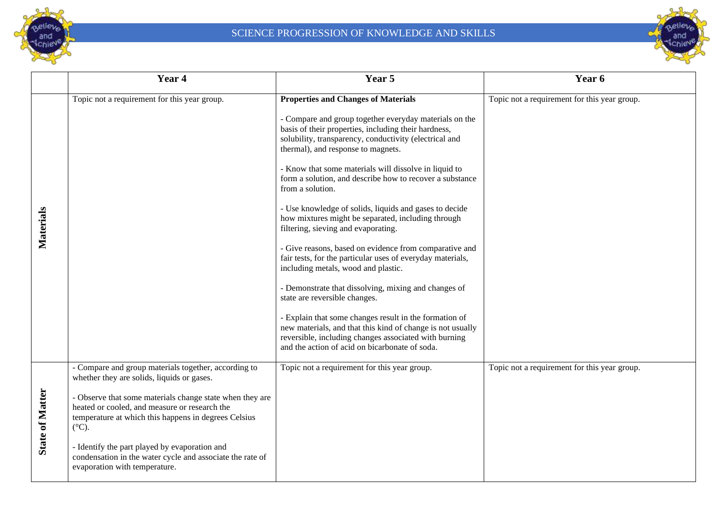



|                        | Year 4                                                                                                                                                                               | Year 5                                                                                                                                                                                                                                                                                                                                                                                                                                                                                                                                                                                                                                                                                                                                                                                                                                                                                                                                                                                                                                                  | Year 6                                       |
|------------------------|--------------------------------------------------------------------------------------------------------------------------------------------------------------------------------------|---------------------------------------------------------------------------------------------------------------------------------------------------------------------------------------------------------------------------------------------------------------------------------------------------------------------------------------------------------------------------------------------------------------------------------------------------------------------------------------------------------------------------------------------------------------------------------------------------------------------------------------------------------------------------------------------------------------------------------------------------------------------------------------------------------------------------------------------------------------------------------------------------------------------------------------------------------------------------------------------------------------------------------------------------------|----------------------------------------------|
| Materials              | Topic not a requirement for this year group.                                                                                                                                         | <b>Properties and Changes of Materials</b><br>- Compare and group together everyday materials on the<br>basis of their properties, including their hardness,<br>solubility, transparency, conductivity (electrical and<br>thermal), and response to magnets.<br>- Know that some materials will dissolve in liquid to<br>form a solution, and describe how to recover a substance<br>from a solution.<br>- Use knowledge of solids, liquids and gases to decide<br>how mixtures might be separated, including through<br>filtering, sieving and evaporating.<br>- Give reasons, based on evidence from comparative and<br>fair tests, for the particular uses of everyday materials,<br>including metals, wood and plastic.<br>- Demonstrate that dissolving, mixing and changes of<br>state are reversible changes.<br>- Explain that some changes result in the formation of<br>new materials, and that this kind of change is not usually<br>reversible, including changes associated with burning<br>and the action of acid on bicarbonate of soda. | Topic not a requirement for this year group. |
|                        | - Compare and group materials together, according to<br>whether they are solids, liquids or gases.                                                                                   | Topic not a requirement for this year group.                                                                                                                                                                                                                                                                                                                                                                                                                                                                                                                                                                                                                                                                                                                                                                                                                                                                                                                                                                                                            | Topic not a requirement for this year group. |
| <b>State of Matter</b> | - Observe that some materials change state when they are<br>heated or cooled, and measure or research the<br>temperature at which this happens in degrees Celsius<br>$(^{\circ}C)$ . |                                                                                                                                                                                                                                                                                                                                                                                                                                                                                                                                                                                                                                                                                                                                                                                                                                                                                                                                                                                                                                                         |                                              |
|                        | - Identify the part played by evaporation and<br>condensation in the water cycle and associate the rate of<br>evaporation with temperature.                                          |                                                                                                                                                                                                                                                                                                                                                                                                                                                                                                                                                                                                                                                                                                                                                                                                                                                                                                                                                                                                                                                         |                                              |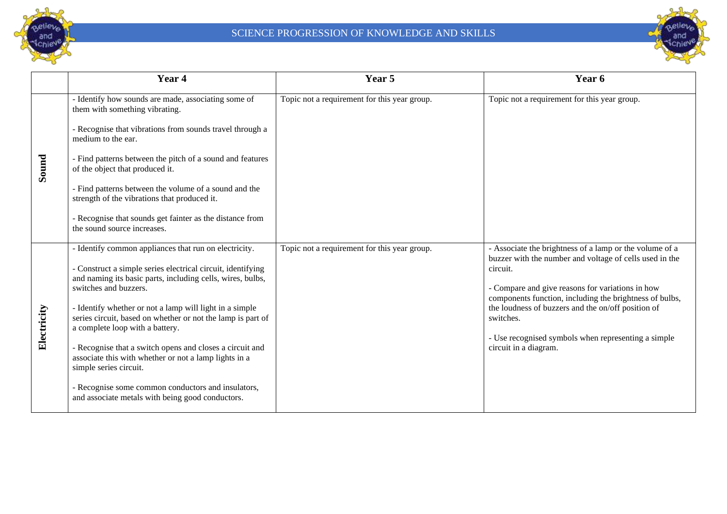



|             | Year 4                                                                                                                                                                                                                                                                                                                                                                                                                                                                                                                                                                        | Year 5                                       | Year 6                                                                                                                                                                                                                                                                                                                                                                                           |
|-------------|-------------------------------------------------------------------------------------------------------------------------------------------------------------------------------------------------------------------------------------------------------------------------------------------------------------------------------------------------------------------------------------------------------------------------------------------------------------------------------------------------------------------------------------------------------------------------------|----------------------------------------------|--------------------------------------------------------------------------------------------------------------------------------------------------------------------------------------------------------------------------------------------------------------------------------------------------------------------------------------------------------------------------------------------------|
|             | - Identify how sounds are made, associating some of<br>them with something vibrating.                                                                                                                                                                                                                                                                                                                                                                                                                                                                                         | Topic not a requirement for this year group. | Topic not a requirement for this year group.                                                                                                                                                                                                                                                                                                                                                     |
|             | - Recognise that vibrations from sounds travel through a<br>medium to the ear.                                                                                                                                                                                                                                                                                                                                                                                                                                                                                                |                                              |                                                                                                                                                                                                                                                                                                                                                                                                  |
| Sound       | - Find patterns between the pitch of a sound and features<br>of the object that produced it.                                                                                                                                                                                                                                                                                                                                                                                                                                                                                  |                                              |                                                                                                                                                                                                                                                                                                                                                                                                  |
|             | - Find patterns between the volume of a sound and the<br>strength of the vibrations that produced it.                                                                                                                                                                                                                                                                                                                                                                                                                                                                         |                                              |                                                                                                                                                                                                                                                                                                                                                                                                  |
|             | - Recognise that sounds get fainter as the distance from<br>the sound source increases.                                                                                                                                                                                                                                                                                                                                                                                                                                                                                       |                                              |                                                                                                                                                                                                                                                                                                                                                                                                  |
| Electricity | - Identify common appliances that run on electricity.<br>- Construct a simple series electrical circuit, identifying<br>and naming its basic parts, including cells, wires, bulbs,<br>switches and buzzers.<br>- Identify whether or not a lamp will light in a simple<br>series circuit, based on whether or not the lamp is part of<br>a complete loop with a battery.<br>- Recognise that a switch opens and closes a circuit and<br>associate this with whether or not a lamp lights in a<br>simple series circuit.<br>- Recognise some common conductors and insulators, | Topic not a requirement for this year group. | - Associate the brightness of a lamp or the volume of a<br>buzzer with the number and voltage of cells used in the<br>circuit.<br>- Compare and give reasons for variations in how<br>components function, including the brightness of bulbs,<br>the loudness of buzzers and the on/off position of<br>switches.<br>- Use recognised symbols when representing a simple<br>circuit in a diagram. |
|             | and associate metals with being good conductors.                                                                                                                                                                                                                                                                                                                                                                                                                                                                                                                              |                                              |                                                                                                                                                                                                                                                                                                                                                                                                  |